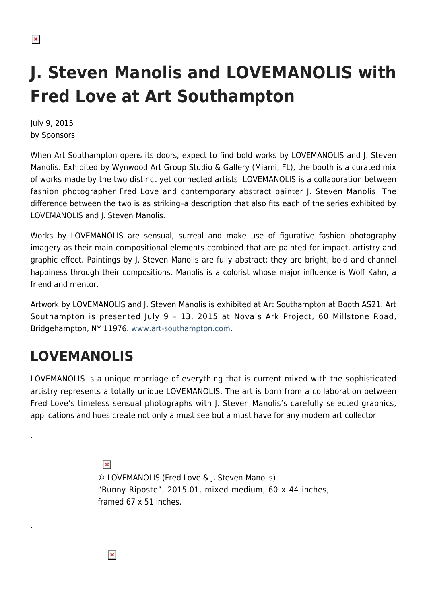# **J. Steven Manolis and LOVEMANOLIS with Fred Love at Art Southampton**

July 9, 2015 by Sponsors

When Art Southampton opens its doors, expect to find bold works by LOVEMANOLIS and J. Steven Manolis. Exhibited by Wynwood Art Group Studio & Gallery (Miami, FL), the booth is a curated mix of works made by the two distinct yet connected artists. LOVEMANOLIS is a collaboration between fashion photographer Fred Love and contemporary abstract painter J. Steven Manolis. The difference between the two is as striking–a description that also fits each of the series exhibited by LOVEMANOLIS and J. Steven Manolis.

Works by LOVEMANOLIS are sensual, surreal and make use of figurative fashion photography imagery as their main compositional elements combined that are painted for impact, artistry and graphic effect. Paintings by J. Steven Manolis are fully abstract; they are bright, bold and channel happiness through their compositions. Manolis is a colorist whose major influence is Wolf Kahn, a friend and mentor.

Artwork by LOVEMANOLIS and J. Steven Manolis is exhibited at Art Southampton at Booth AS21. Art Southampton is presented July 9 – 13, 2015 at Nova's Ark Project, 60 Millstone Road, Bridgehampton, NY 11976. [www.art-southampton.com](http://www.art-southampton.com/).

# **LOVEMANOLIS**

.

.

LOVEMANOLIS is a unique marriage of everything that is current mixed with the sophisticated artistry represents a totally unique LOVEMANOLIS. The art is born from a collaboration between Fred Love's timeless sensual photographs with J. Steven Manolis's carefully selected graphics, applications and hues create not only a must see but a must have for any modern art collector.

> $\pmb{\times}$ © LOVEMANOLIS (Fred Love & J. Steven Manolis) "Bunny Riposte", 2015.01, mixed medium, 60 x 44 inches, framed 67 x 51 inches.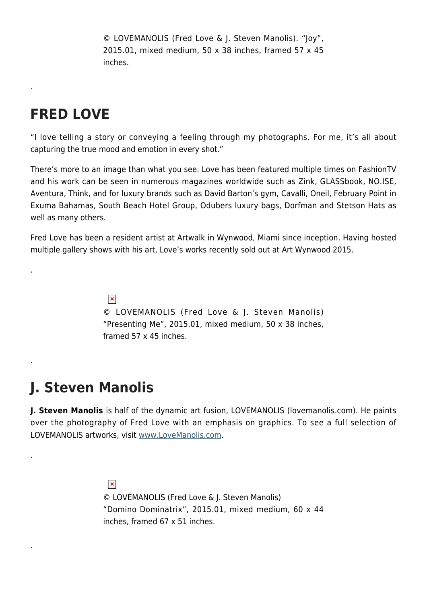© LOVEMANOLIS (Fred Love & J. Steven Manolis). "Joy", 2015.01, mixed medium, 50 x 38 inches, framed 57 x 45 inches.

### **FRED LOVE**

.

.

.

.

.

"I love telling a story or conveying a feeling through my photographs. For me, it's all about capturing the true mood and emotion in every shot."

There's more to an image than what you see. Love has been featured multiple times on FashionTV and his work can be seen in numerous magazines worldwide such as Zink, GLASSbook, NO.ISE, Aventura, Think, and for luxury brands such as David Barton's gym, Cavalli, Oneil, February Point in Exuma Bahamas, South Beach Hotel Group, Odubers luxury bags, Dorfman and Stetson Hats as well as many others.

Fred Love has been a resident artist at Artwalk in Wynwood, Miami since inception. Having hosted multiple gallery shows with his art, Love's works recently sold out at Art Wynwood 2015.

> $\pmb{\times}$ © LOVEMANOLIS (Fred Love & J. Steven Manolis) "Presenting Me", 2015.01, mixed medium, 50 x 38 inches, framed 57 x 45 inches.

# **J. Steven Manolis**

**J. Steven Manolis** is half of the dynamic art fusion, LOVEMANOLIS (lovemanolis.com). He paints over the photography of Fred Love with an emphasis on graphics. To see a full selection of LOVEMANOLIS artworks, visit [www.LoveManolis.com.](http://www.lovemanolis.com/)

> $\pmb{\times}$ © LOVEMANOLIS (Fred Love & J. Steven Manolis) "Domino Dominatrix", 2015.01, mixed medium, 60 x 44 inches, framed 67 x 51 inches.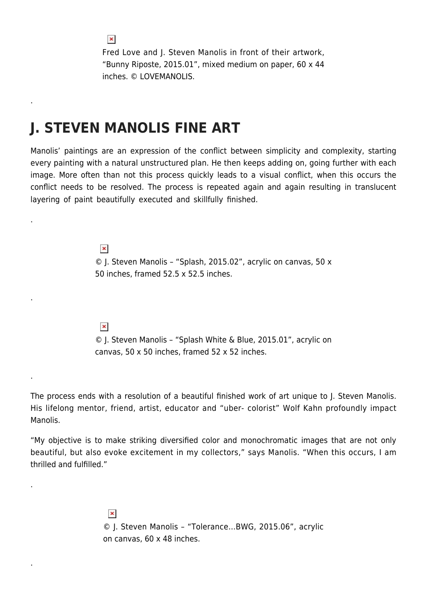Fred Love and J. Steven Manolis in front of their artwork, "Bunny Riposte, 2015.01", mixed medium on paper, 60 x 44 inches. © LOVEMANOLIS.

#### **J. STEVEN MANOLIS FINE ART**

Manolis' paintings are an expression of the conflict between simplicity and complexity, starting every painting with a natural unstructured plan. He then keeps adding on, going further with each image. More often than not this process quickly leads to a visual conflict, when this occurs the conflict needs to be resolved. The process is repeated again and again resulting in translucent layering of paint beautifully executed and skillfully finished.

> $\pmb{\times}$ © J. Steven Manolis – "Splash, 2015.02", acrylic on canvas, 50 x 50 inches, framed 52.5 x 52.5 inches.

 $\pmb{\times}$ 

© J. Steven Manolis – "Splash White & Blue, 2015.01", acrylic on canvas, 50 x 50 inches, framed 52 x 52 inches.

The process ends with a resolution of a beautiful finished work of art unique to J. Steven Manolis. His lifelong mentor, friend, artist, educator and "uber- colorist" Wolf Kahn profoundly impact Manolis.

"My objective is to make striking diversified color and monochromatic images that are not only beautiful, but also evoke excitement in my collectors," says Manolis. "When this occurs, I am thrilled and fulfilled."

> $\pmb{\times}$ © J. Steven Manolis – "Tolerance…BWG, 2015.06", acrylic on canvas, 60 x 48 inches.

 $\pmb{\times}$ 

.

.

.

.

.

.